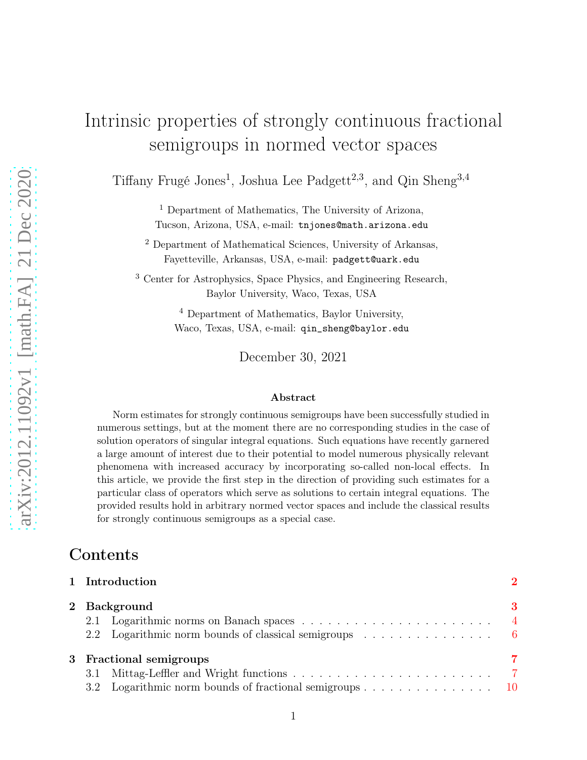# Intrinsic properties of strongly continuous fractional semigroups in normed vector spaces

Tiffany Frugé Jones<sup>1</sup>, Joshua Lee Padgett<sup>2,3</sup>, and Qin Sheng<sup>3,4</sup>

<sup>1</sup> Department of Mathematics, The University of Arizona, Tucson, Arizona, USA, e-mail: tnjones@math.arizona.edu

<sup>2</sup> Department of Mathematical Sciences, University of Arkansas, Fayetteville, Arkansas, USA, e-mail: padgett@uark.edu

<sup>3</sup> Center for Astrophysics, Space Physics, and Engineering Research, Baylor University, Waco, Texas, USA

> <sup>4</sup> Department of Mathematics, Baylor University, Waco, Texas, USA, e-mail: qin\_sheng@baylor.edu

> > December 30, 2021

#### Abstract

Norm estimates for strongly continuous semigroups have been successfully studied in numerous settings, but at the moment there are no corresponding studies in the case of solution operators of singular integral equations. Such equations have recently garnered a large amount of interest due to their potential to model numerous physically relevant phenomena with increased accuracy by incorporating so-called non-local effects. In this article, we provide the first step in the direction of providing such estimates for a particular class of operators which serve as solutions to certain integral equations. The provided results hold in arbitrary normed vector spaces and include the classical results for strongly continuous semigroups as a special case.

### Contents

| 1 Introduction                                          | $\mathcal{D}_{\mathcal{A}}$ |
|---------------------------------------------------------|-----------------------------|
| 2 Background                                            | 3                           |
|                                                         |                             |
|                                                         |                             |
| 3 Fractional semigroups                                 | 7                           |
| 3.1                                                     |                             |
| 3.2 Logarithmic norm bounds of fractional semigroups 10 |                             |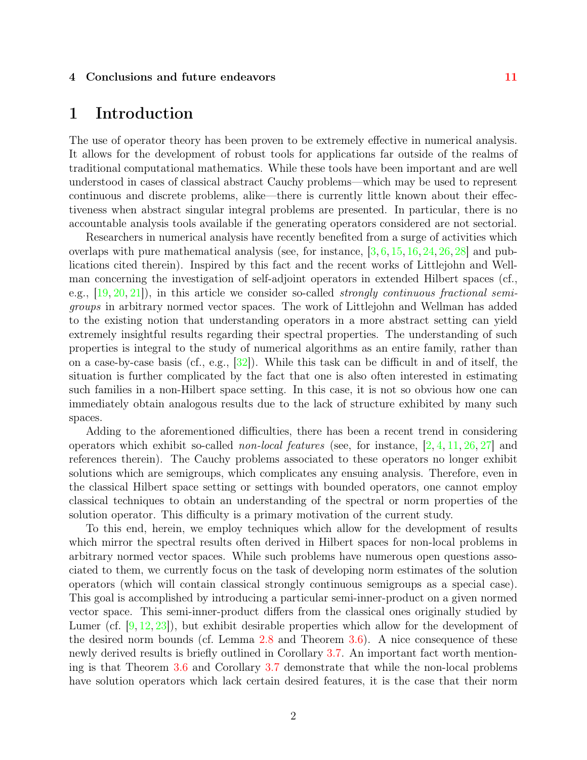#### <span id="page-1-0"></span>4 Conclusions and future endeavors [11](#page-10-0)

# 1 Introduction

The use of operator theory has been proven to be extremely effective in numerical analysis. It allows for the development of robust tools for applications far outside of the realms of traditional computational mathematics. While these tools have been important and are well understood in cases of classical abstract Cauchy problems—which may be used to represent continuous and discrete problems, alike—there is currently little known about their effectiveness when abstract singular integral problems are presented. In particular, there is no accountable analysis tools available if the generating operators considered are not sectorial.

Researchers in numerical analysis have recently benefited from a surge of activities which overlaps with pure mathematical analysis (see, for instance,  $\left[3, 6, 15, 16, 24, 26, 28\right]$  $\left[3, 6, 15, 16, 24, 26, 28\right]$  $\left[3, 6, 15, 16, 24, 26, 28\right]$  $\left[3, 6, 15, 16, 24, 26, 28\right]$  $\left[3, 6, 15, 16, 24, 26, 28\right]$  $\left[3, 6, 15, 16, 24, 26, 28\right]$  $\left[3, 6, 15, 16, 24, 26, 28\right]$  $\left[3, 6, 15, 16, 24, 26, 28\right]$  $\left[3, 6, 15, 16, 24, 26, 28\right]$  $\left[3, 6, 15, 16, 24, 26, 28\right]$  $\left[3, 6, 15, 16, 24, 26, 28\right]$  and publications cited therein). Inspired by this fact and the recent works of Littlejohn and Wellman concerning the investigation of self-adjoint operators in extended Hilbert spaces (cf., e.g.,  $[19, 20, 21]$  $[19, 20, 21]$  $[19, 20, 21]$  $[19, 20, 21]$ , in this article we consider so-called *strongly continuous fractional semi*groups in arbitrary normed vector spaces. The work of Littlejohn and Wellman has added to the existing notion that understanding operators in a more abstract setting can yield extremely insightful results regarding their spectral properties. The understanding of such properties is integral to the study of numerical algorithms as an entire family, rather than on a case-by-case basis (cf., e.g., [\[32\]](#page-13-5)). While this task can be difficult in and of itself, the situation is further complicated by the fact that one is also often interested in estimating such families in a non-Hilbert space setting. In this case, it is not so obvious how one can immediately obtain analogous results due to the lack of structure exhibited by many such spaces.

Adding to the aforementioned difficulties, there has been a recent trend in considering operators which exhibit so-called *non-local features* (see, for instance,  $[2, 4, 11, 26, 27]$  $[2, 4, 11, 26, 27]$  $[2, 4, 11, 26, 27]$  $[2, 4, 11, 26, 27]$  $[2, 4, 11, 26, 27]$  $[2, 4, 11, 26, 27]$  and references therein). The Cauchy problems associated to these operators no longer exhibit solutions which are semigroups, which complicates any ensuing analysis. Therefore, even in the classical Hilbert space setting or settings with bounded operators, one cannot employ classical techniques to obtain an understanding of the spectral or norm properties of the solution operator. This difficulty is a primary motivation of the current study.

To this end, herein, we employ techniques which allow for the development of results which mirror the spectral results often derived in Hilbert spaces for non-local problems in arbitrary normed vector spaces. While such problems have numerous open questions associated to them, we currently focus on the task of developing norm estimates of the solution operators (which will contain classical strongly continuous semigroups as a special case). This goal is accomplished by introducing a particular semi-inner-product on a given normed vector space. This semi-inner-product differs from the classical ones originally studied by Lumer (cf. [\[9,](#page-12-5) [12,](#page-12-6) [23\]](#page-13-7)), but exhibit desirable properties which allow for the development of the desired norm bounds (cf. Lemma [2.8](#page-5-1) and Theorem [3.6\)](#page-9-1). A nice consequence of these newly derived results is briefly outlined in Corollary [3.7.](#page-10-1) An important fact worth mentioning is that Theorem [3.6](#page-9-1) and Corollary [3.7](#page-10-1) demonstrate that while the non-local problems have solution operators which lack certain desired features, it is the case that their norm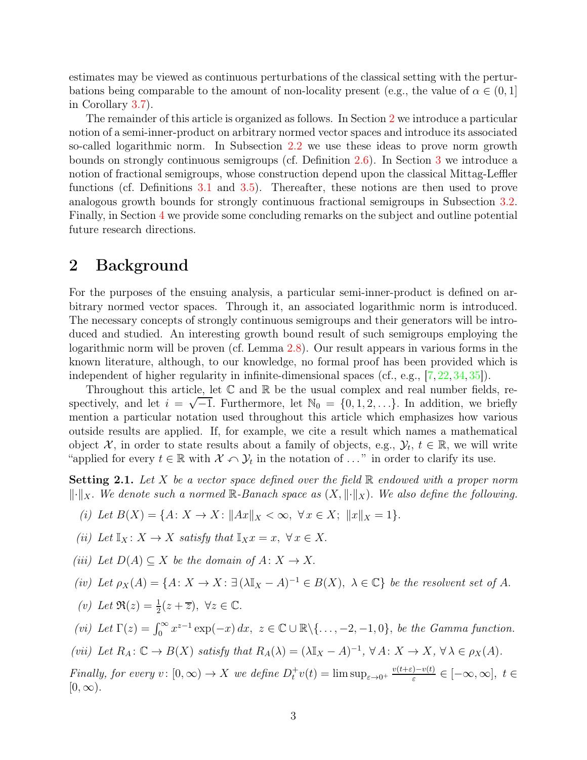estimates may be viewed as continuous perturbations of the classical setting with the perturbations being comparable to the amount of non-locality present (e.g., the value of  $\alpha \in (0,1]$ ) in Corollary [3.7\)](#page-10-1).

The remainder of this article is organized as follows. In Section [2](#page-2-0) we introduce a particular notion of a semi-inner-product on arbitrary normed vector spaces and introduce its associated so-called logarithmic norm. In Subsection [2.2](#page-5-0) we use these ideas to prove norm growth bounds on strongly continuous semigroups (cf. Definition [2.6\)](#page-5-2). In Section [3](#page-6-0) we introduce a notion of fractional semigroups, whose construction depend upon the classical Mittag-Leffler functions (cf. Definitions [3.1](#page-6-2) and [3.5\)](#page-9-2). Thereafter, these notions are then used to prove analogous growth bounds for strongly continuous fractional semigroups in Subsection [3.2.](#page-9-0) Finally, in Section [4](#page-10-0) we provide some concluding remarks on the subject and outline potential future research directions.

# <span id="page-2-0"></span>2 Background

For the purposes of the ensuing analysis, a particular semi-inner-product is defined on arbitrary normed vector spaces. Through it, an associated logarithmic norm is introduced. The necessary concepts of strongly continuous semigroups and their generators will be introduced and studied. An interesting growth bound result of such semigroups employing the logarithmic norm will be proven (cf. Lemma [2.8\)](#page-5-1). Our result appears in various forms in the known literature, although, to our knowledge, no formal proof has been provided which is independent of higher regularity in infinite-dimensional spaces (cf., e.g., [\[7,](#page-12-7) [22,](#page-13-8) [34,](#page-13-9) 35]).

Throughout this article, let  $\mathbb C$  and  $\mathbb R$  be the usual complex and real number fields, respectively, and let  $i = \sqrt{-1}$ . Furthermore, let  $\mathbb{N}_0 = \{0, 1, 2, ...\}$ . In addition, we briefly mention a particular notation used throughout this article which emphasizes how various outside results are applied. If, for example, we cite a result which names a mathematical object  $\mathcal{X}$ , in order to state results about a family of objects, e.g.,  $\mathcal{Y}_t$ ,  $t \in \mathbb{R}$ , we will write "applied for every  $t \in \mathbb{R}$  with  $\mathcal{X} \cap \mathcal{Y}_t$  in the notation of ..." in order to clarify its use.

<span id="page-2-1"></span>**Setting 2.1.** Let X be a vector space defined over the field  $\mathbb{R}$  endowed with a proper norm  $\lVert \cdot \rVert_X$ . We denote such a normed  $\mathbb{R}$ -Banach space as  $(X, \lVert \cdot \rVert_X)$ . We also define the following.

(i) Let 
$$
B(X) = \{A: X \to X: ||Ax||_X < \infty, \ \forall x \in X; \ ||x||_X = 1\}.
$$

$$
(ii)\ \ Let\ \mathbb{I}_X\colon X\to X\ \ satisfy\ that\ \mathbb{I}_Xx=x,\ \forall\, x\in X.
$$

(iii) Let  $D(A) \subseteq X$  be the domain of  $A: X \to X$ .

$$
(iv) \ \ Let \ \rho_X(A) = \{A \colon X \to X \colon \exists \ (\lambda \mathbb{I}_X - A)^{-1} \in B(X), \ \lambda \in \mathbb{C} \} \ \ be \ \ the \ \ resolvent \ set \ \ of \ A.
$$

(v) Let  $\Re(z) = \frac{1}{2}(z + \overline{z}), \ \forall z \in \mathbb{C}.$ 

(vi) Let  $\Gamma(z) = \int_0^\infty x^{z-1} \exp(-x) dx$ ,  $z \in \mathbb{C} \cup \mathbb{R} \setminus \{..., -2, -1, 0\}$ , be the Gamma function.

(vii) Let  $R_A: \mathbb{C} \to B(X)$  satisfy that  $R_A(\lambda) = (\lambda \mathbb{I}_X - A)^{-1}, \forall A: X \to X, \forall \lambda \in \rho_X(A)$ .

Finally, for every  $v: [0, \infty) \to X$  we define  $D_t^+ v(t) = \limsup_{\varepsilon \to 0^+} \frac{v(t+\varepsilon) - v(t)}{\varepsilon}$  $\frac{f(-v(t)) - v(t)}{\varepsilon} \in [-\infty, \infty], t \in$  $[0, \infty)$ .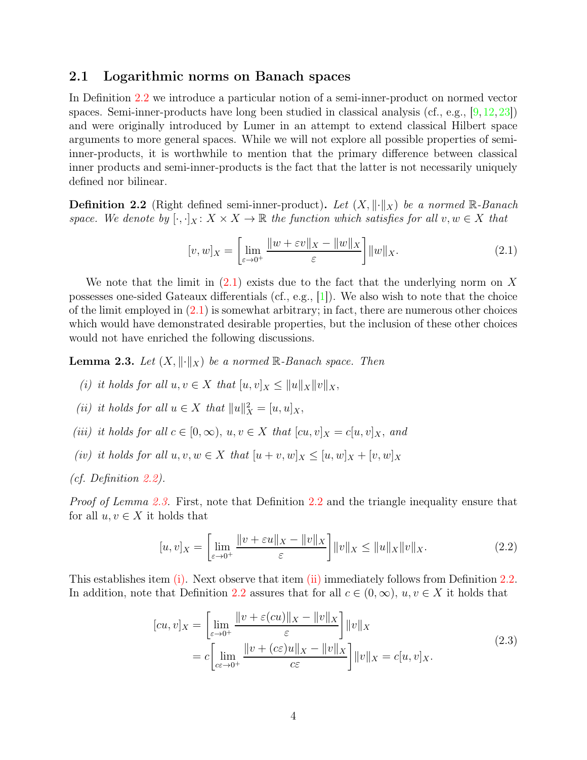### <span id="page-3-0"></span>2.1 Logarithmic norms on Banach spaces

In Definition [2.2](#page-3-1) we introduce a particular notion of a semi-inner-product on normed vector spaces. Semi-inner-products have long been studied in classical analysis (cf., e.g., [\[9,](#page-12-5)[12,](#page-12-6)[23\]](#page-13-7)) and were originally introduced by Lumer in an attempt to extend classical Hilbert space arguments to more general spaces. While we will not explore all possible properties of semiinner-products, it is worthwhile to mention that the primary difference between classical inner products and semi-inner-products is the fact that the latter is not necessarily uniquely defined nor bilinear.

<span id="page-3-1"></span>**Definition 2.2** (Right defined semi-inner-product). Let  $(X, \|\cdot\|_X)$  be a normed R-Banach space. We denote by  $[\cdot,\cdot]_X \colon X \times X \to \mathbb{R}$  the function which satisfies for all  $v, w \in X$  that

<span id="page-3-2"></span>
$$
[v, w]_X = \left[\lim_{\varepsilon \to 0^+} \frac{\|w + \varepsilon v\|_X - \|w\|_X}{\varepsilon}\right] \|w\|_X. \tag{2.1}
$$

We note that the limit in  $(2.1)$  exists due to the fact that the underlying norm on X possesses one-sided Gateaux differentials (cf., e.g., [\[1\]](#page-11-1)). We also wish to note that the choice of the limit employed in  $(2.1)$  is somewhat arbitrary; in fact, there are numerous other choices which would have demonstrated desirable properties, but the inclusion of these other choices would not have enriched the following discussions.

<span id="page-3-4"></span><span id="page-3-3"></span>**Lemma 2.3.** Let  $(X, \|\cdot\|_X)$  be a normed R-Banach space. Then

- <span id="page-3-5"></span>(i) it holds for all  $u, v \in X$  that  $[u, v]_X \leq ||u||_X||v||_X$ ,
- <span id="page-3-6"></span>(ii) it holds for all  $u \in X$  that  $||u||_X^2 = [u, u]_X$ ,
- <span id="page-3-7"></span>(iii) it holds for all  $c \in [0,\infty)$ ,  $u, v \in X$  that  $[cu, v]_X = c[u, v]_X$ , and
- (iv) it holds for all  $u, v, w \in X$  that  $[u + v, w]_X \leq [u, w]_X + [v, w]_X$
- (cf. Definition [2.2\)](#page-3-1).

Proof of Lemma [2.3.](#page-3-3) First, note that Definition [2.2](#page-3-1) and the triangle inequality ensure that for all  $u, v \in X$  it holds that

$$
[u, v]_X = \left[ \lim_{\varepsilon \to 0^+} \frac{\|v + \varepsilon u\|_X - \|v\|_X}{\varepsilon} \right] \|v\|_X \le \|u\|_X \|v\|_X. \tag{2.2}
$$

This establishes item [\(i\).](#page-3-4) Next observe that item [\(ii\)](#page-3-5) immediately follows from Definition [2.2.](#page-3-1) In addition, note that Definition [2.2](#page-3-1) assures that for all  $c \in (0,\infty), u, v \in X$  it holds that

$$
[cu, v]_X = \left[\lim_{\varepsilon \to 0^+} \frac{\|v + \varepsilon (cu)\|_X - \|v\|_X}{\varepsilon}\right] \|v\|_X
$$
  
= 
$$
c \left[\lim_{c \in \to 0^+} \frac{\|v + (c\varepsilon)u\|_X - \|v\|_X}{c\varepsilon}\right] \|v\|_X = c[u, v]_X.
$$
 (2.3)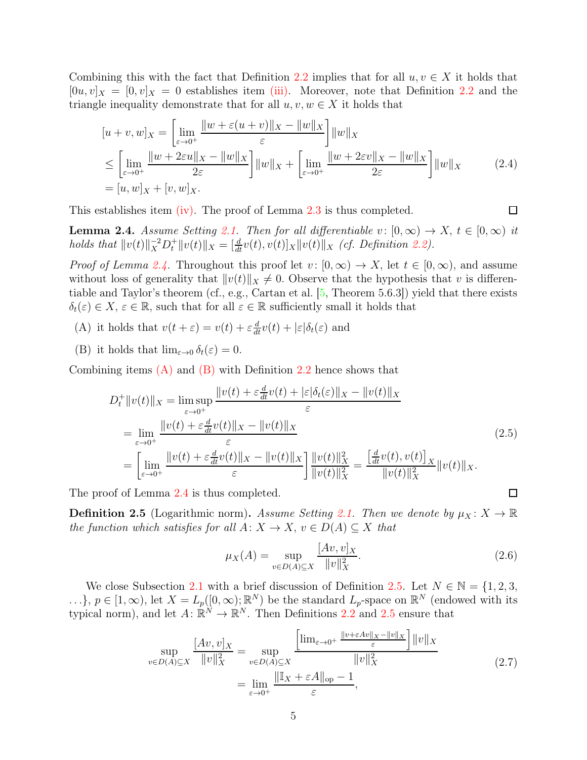Combining this with the fact that Definition [2.2](#page-3-1) implies that for all  $u, v \in X$  it holds that  $[0u, v]_X = [0, v]_X = 0$  establishes item [\(iii\).](#page-3-6) Moreover, note that Definition [2.2](#page-3-1) and the triangle inequality demonstrate that for all  $u, v, w \in X$  it holds that

$$
[u+v,w]_X = \left[\lim_{\varepsilon \to 0^+} \frac{\|w + \varepsilon(u+v)\|_X - \|w\|_X}{\varepsilon}\right] \|w\|_X
$$
  
\n
$$
\leq \left[\lim_{\varepsilon \to 0^+} \frac{\|w + 2\varepsilon u\|_X - \|w\|_X}{2\varepsilon}\right] \|w\|_X + \left[\lim_{\varepsilon \to 0^+} \frac{\|w + 2\varepsilon v\|_X - \|w\|_X}{2\varepsilon}\right] \|w\|_X
$$
 (2.4)  
\n
$$
= [u, w]_X + [v, w]_X.
$$

<span id="page-4-0"></span>This establishes item  $(iv)$ . The proof of Lemma [2.3](#page-3-3) is thus completed.

**Lemma 2.4.** Assume Setting [2.1.](#page-2-1) Then for all differentiable  $v: [0, \infty) \to X$ ,  $t \in [0, \infty)$  it holds that  $||v(t)||_X^{-2}D_t^+||v(t)||_X = [\frac{d}{dt}v(t), v(t)]_X||v(t)||_X$  (cf. Definition [2.2\)](#page-3-1).

*Proof of Lemma [2.4.](#page-4-0)* Throughout this proof let  $v: [0,\infty) \to X$ , let  $t \in [0,\infty)$ , and assume without loss of generality that  $||v(t)||_X \neq 0$ . Observe that the hypothesis that v is differentiable and Taylor's theorem (cf., e.g., Cartan et al. [\[5,](#page-12-8) Theorem 5.6.3]) yield that there exists  $\delta_t(\varepsilon) \in X$ ,  $\varepsilon \in \mathbb{R}$ , such that for all  $\varepsilon \in \mathbb{R}$  sufficiently small it holds that

- <span id="page-4-2"></span><span id="page-4-1"></span>(A) it holds that  $v(t + \varepsilon) = v(t) + \varepsilon \frac{d}{dt} v(t) + |\varepsilon| \delta_t(\varepsilon)$  and
- (B) it holds that  $\lim_{\varepsilon \to 0} \delta_t(\varepsilon) = 0$ .

Combining items  $(A)$  and  $(B)$  with Definition [2.2](#page-3-1) hence shows that

$$
D_{t}^{+}||v(t)||_{X} = \lim_{\varepsilon \to 0^{+}} \sup_{\varepsilon \to 0^{+}} \frac{||v(t) + \varepsilon \frac{d}{dt}v(t) + |\varepsilon|\delta_{t}(\varepsilon)||_{X} - ||v(t)||_{X}}{\varepsilon}
$$
  
\n
$$
= \lim_{\varepsilon \to 0^{+}} \frac{||v(t) + \varepsilon \frac{d}{dt}v(t)||_{X} - ||v(t)||_{X}}{\varepsilon}
$$
  
\n
$$
= \left[\lim_{\varepsilon \to 0^{+}} \frac{||v(t) + \varepsilon \frac{d}{dt}v(t)||_{X} - ||v(t)||_{X}}{\varepsilon}\right] \frac{||v(t)||_{X}^{2}}{||v(t)||_{X}^{2}} = \frac{\left[\frac{d}{dt}v(t), v(t)\right]_{X}}{||v(t)||_{X}^{2}} ||v(t)||_{X}.
$$
\n(2.5)

<span id="page-4-3"></span>The proof of Lemma [2.4](#page-4-0) is thus completed.

**Definition 2.5** (Logarithmic norm). Assume Setting [2.1.](#page-2-1) Then we denote by  $\mu_X : X \to \mathbb{R}$ the function which satisfies for all  $A: X \to X$ ,  $v \in D(A) \subseteq X$  that

$$
\mu_X(A) = \sup_{v \in D(A) \subseteq X} \frac{[Av, v]_X}{\|v\|_X^2}.
$$
\n(2.6)

<span id="page-4-4"></span>We close Subsection [2.1](#page-3-0) with a brief discussion of Definition [2.5.](#page-4-3) Let  $N \in \mathbb{N} = \{1, 2, 3, \ldots\}$ ...},  $p \in [1,\infty)$ , let  $X = L_p([0,\infty);\mathbb{R}^N)$  be the standard  $L_p$ -space on  $\mathbb{R}^N$  (endowed with its typical norm), and let  $A: \mathbb{R}^N \to \mathbb{R}^N$ . Then Definitions [2.2](#page-3-1) and [2.5](#page-4-3) ensure that

$$
\sup_{v \in D(A) \subseteq X} \frac{[Av, v]_X}{\|v\|_X^2} = \sup_{v \in D(A) \subseteq X} \frac{\left[\lim_{\varepsilon \to 0^+} \frac{\|v + \varepsilon Av\|_X - \|v\|_X}{\varepsilon}\right] \|v\|_X}{\|v\|_X^2} \qquad (2.7)
$$

$$
= \lim_{\varepsilon \to 0^+} \frac{\|\mathbb{I}_X + \varepsilon A\|_{\text{op}} - 1}{\varepsilon},
$$

 $\Box$ 

 $\Box$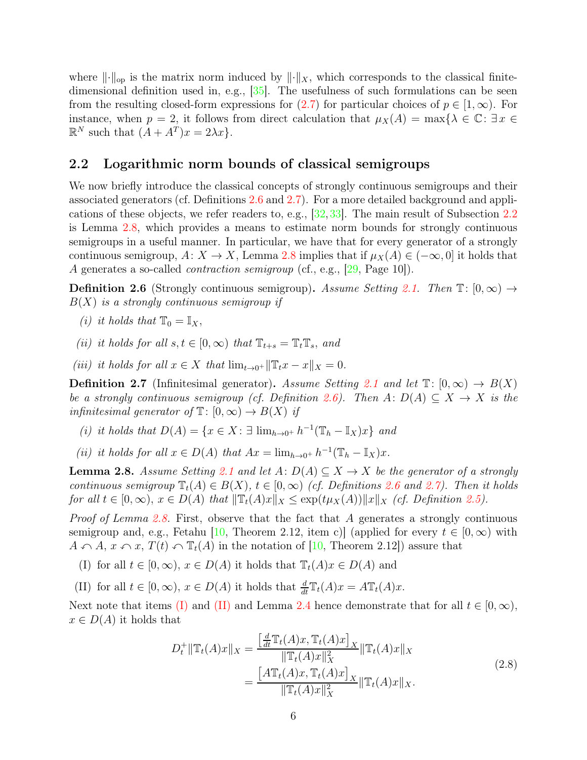where  $\lVert \cdot \rVert_{op}$  is the matrix norm induced by  $\lVert \cdot \rVert_X$ , which corresponds to the classical finitedimensional definition used in, e.g.,  $[35]$ . The usefulness of such formulations can be seen from the resulting closed-form expressions for  $(2.7)$  for particular choices of  $p \in [1,\infty)$ . For instance, when  $p = 2$ , it follows from direct calculation that  $\mu_X(A) = \max\{\lambda \in \mathbb{C} : \exists x \in \mathbb{C}\}\$  $\mathbb{R}^N$  such that  $(A + A^T)x = 2\lambda x$ .

### <span id="page-5-0"></span>2.2 Logarithmic norm bounds of classical semigroups

We now briefly introduce the classical concepts of strongly continuous semigroups and their associated generators (cf. Definitions [2.6](#page-5-2) and [2.7\)](#page-5-3). For a more detailed background and applications of these objects, we refer readers to, e.g., [\[32,](#page-13-5)[33\]](#page-13-10). The main result of Subsection [2.2](#page-5-0) is Lemma [2.8,](#page-5-1) which provides a means to estimate norm bounds for strongly continuous semigroups in a useful manner. In particular, we have that for every generator of a strongly continuous semigroup,  $A: X \to X$ , Lemma [2.8](#page-5-1) implies that if  $\mu_X(A) \in (-\infty, 0]$  it holds that A generates a so-called *contraction semigroup* (cf., e.g., [\[29,](#page-13-11) Page 10]).

<span id="page-5-2"></span>**Definition 2.6** (Strongly continuous semigroup). Assume Setting [2.1.](#page-2-1) Then  $\mathbb{T}: [0, \infty) \to$  $B(X)$  is a strongly continuous semigroup if

- <span id="page-5-6"></span>(i) it holds that  $\mathbb{T}_0 = \mathbb{I}_X$ ,
- (ii) it holds for all  $s, t \in [0, \infty)$  that  $\mathbb{T}_{t+s} = \mathbb{T}_t \mathbb{T}_s$ , and
- <span id="page-5-3"></span>(iii) it holds for all  $x \in X$  that  $\lim_{t \to 0^+} ||\mathbb{T}_t x - x||_X = 0$ .

**Definition 2.7** (Infinitesimal generator). Assume Setting [2.1](#page-2-1) and let  $\mathbb{T}$ :  $[0,\infty) \to B(X)$ be a strongly continuous semigroup (cf. Definition [2.6\)](#page-5-2). Then  $A: D(A) \subseteq X \to X$  is the infinitesimal generator of  $\mathbb{T}$ :  $[0,\infty) \to B(X)$  if

- (i) it holds that  $D(A) = \{x \in X : \exists \lim_{h \to 0^+} h^{-1}(\mathbb{T}_h \mathbb{I}_X)x\}$  and
- <span id="page-5-1"></span>(ii) it holds for all  $x \in D(A)$  that  $Ax = \lim_{h \to 0^+} h^{-1}(\mathbb{T}_h - \mathbb{I}_X)x$ .

**Lemma 2.8.** Assume Setting [2.1](#page-2-1) and let  $A: D(A) \subseteq X \rightarrow X$  be the generator of a strongly continuous semigroup  $\mathbb{T}_t(A) \in B(X)$ ,  $t \in [0,\infty)$  (cf. Definitions [2.6](#page-5-2) and [2.7\)](#page-5-3). Then it holds for all  $t \in [0,\infty)$ ,  $x \in D(A)$  that  $\|\mathbb{T}_t(A)x\|_X \leq \exp(t\mu_X(A))\|x\|_X$  (cf. Definition [2.5\)](#page-4-3).

*Proof of Lemma [2.8.](#page-5-1)* First, observe that the fact that A generates a strongly continuous semigroup and, e.g., Fetahu [\[10,](#page-12-9) Theorem 2.12, item c)] (applied for every  $t \in [0,\infty)$  with  $A \cap A$ ,  $x \cap x$ ,  $T(t) \cap T_t(A)$  in the notation of [\[10,](#page-12-9) Theorem 2.12]) assure that

<span id="page-5-5"></span><span id="page-5-4"></span>(I) for all  $t \in [0, \infty)$ ,  $x \in D(A)$  it holds that  $\mathbb{T}_{t}(A)x \in D(A)$  and

(II) for all  $t \in [0, \infty)$ ,  $x \in D(A)$  it holds that  $\frac{d}{dt} \mathbb{T}_t(A)x = A \mathbb{T}_t(A)x$ .

Next note that items [\(I\)](#page-5-4) and [\(II\)](#page-5-5) and Lemma [2.4](#page-4-0) hence demonstrate that for all  $t \in [0, \infty)$ ,  $x \in D(A)$  it holds that

$$
D_t^+ \|\mathbb{T}_t(A)x\|_X = \frac{\left[\frac{d}{dt}\mathbb{T}_t(A)x, \mathbb{T}_t(A)x\right]_X}{\|\mathbb{T}_t(A)x\|_X^2} \|\mathbb{T}_t(A)x\|_X
$$
  
= 
$$
\frac{\left[A\mathbb{T}_t(A)x, \mathbb{T}_t(A)x\right]_X}{\|\mathbb{T}_t(A)x\|_X^2} \|\mathbb{T}_t(A)x\|_X.
$$
 (2.8)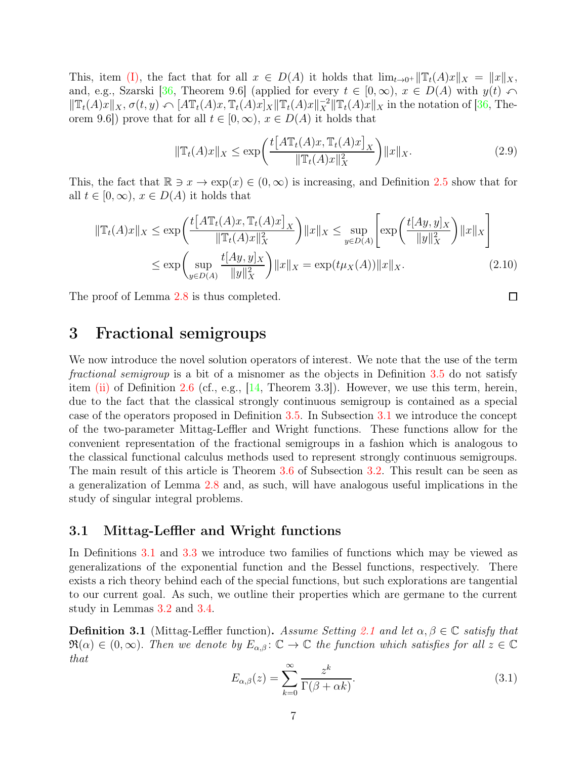This, item [\(I\),](#page-5-4) the fact that for all  $x \in D(A)$  it holds that  $\lim_{t\to 0^+} ||T_t(A)x||_X = ||x||_X$ , and, e.g., Szarski [\[36,](#page-14-0) Theorem 9.6] (applied for every  $t \in [0, \infty)$ ,  $x \in D(A)$  with  $y(t) \cap$  $\|\mathbb{T}_t(A)x\|_X, \sigma(t, y) \leftarrow [A\mathbb{T}_t(A)x, \mathbb{T}_t(A)x]_X \|\mathbb{T}_t(A)x\|_X^2 \|\mathbb{T}_t(A)x\|_X$  in the notation of [\[36,](#page-14-0) Theorem 9.6]) prove that for all  $t \in [0, \infty)$ ,  $x \in D(A)$  it holds that

$$
\|\mathbb{T}_{t}(A)x\|_{X} \le \exp\left(\frac{t\big[A\mathbb{T}_{t}(A)x, \mathbb{T}_{t}(A)x\big]_{X}}{\|\mathbb{T}_{t}(A)x\|_{X}^{2}}\right) \|x\|_{X}.
$$
\n(2.9)

 $\Box$ 

This, the fact that  $\mathbb{R} \ni x \to \exp(x) \in (0,\infty)$  is increasing, and Definition [2.5](#page-4-3) show that for all  $t \in [0, \infty)$ ,  $x \in D(A)$  it holds that

$$
\|\mathbb{T}_{t}(A)x\|_{X} \le \exp\left(\frac{t\big[A\mathbb{T}_{t}(A)x, \mathbb{T}_{t}(A)x\big]_{X}}{\|\mathbb{T}_{t}(A)x\|_{X}^{2}}\right) \|x\|_{X} \le \sup_{y \in D(A)} \left[\exp\left(\frac{t[Ay, y]_{X}}{\|y\|_{X}^{2}}\right) \|x\|_{X}\right]
$$

$$
\le \exp\left(\sup_{y \in D(A)} \frac{t[Ay, y]_{X}}{\|y\|_{X}^{2}}\right) \|x\|_{X} = \exp(t\mu_{X}(A)) \|x\|_{X}.
$$
(2.10)

<span id="page-6-0"></span>The proof of Lemma [2.8](#page-5-1) is thus completed.

# 3 Fractional semigroups

We now introduce the novel solution operators of interest. We note that the use of the term fractional semigroup is a bit of a misnomer as the objects in Definition [3.5](#page-9-2) do not satisfy item [\(ii\)](#page-5-6) of Definition [2.6](#page-5-2) (cf., e.g.,  $[14,$  Theorem 3.3]). However, we use this term, herein, due to the fact that the classical strongly continuous semigroup is contained as a special case of the operators proposed in Definition [3.5.](#page-9-2) In Subsection [3.1](#page-6-1) we introduce the concept of the two-parameter Mittag-Leffler and Wright functions. These functions allow for the convenient representation of the fractional semigroups in a fashion which is analogous to the classical functional calculus methods used to represent strongly continuous semigroups. The main result of this article is Theorem [3.6](#page-9-1) of Subsection [3.2.](#page-9-0) This result can be seen as a generalization of Lemma [2.8](#page-5-1) and, as such, will have analogous useful implications in the study of singular integral problems.

#### <span id="page-6-1"></span>3.1 Mittag-Leffler and Wright functions

In Definitions [3.1](#page-6-2) and [3.3](#page-7-0) we introduce two families of functions which may be viewed as generalizations of the exponential function and the Bessel functions, respectively. There exists a rich theory behind each of the special functions, but such explorations are tangential to our current goal. As such, we outline their properties which are germane to the current study in Lemmas [3.2](#page-6-3) and [3.4.](#page-7-1)

<span id="page-6-3"></span><span id="page-6-2"></span>**Definition 3.1** (Mittag-Leffler function). Assume Setting [2.1](#page-2-1) and let  $\alpha, \beta \in \mathbb{C}$  satisfy that  $\Re(\alpha) \in (0,\infty)$ . Then we denote by  $E_{\alpha,\beta}$ :  $\mathbb{C} \to \mathbb{C}$  the function which satisfies for all  $z \in \mathbb{C}$ that

$$
E_{\alpha,\beta}(z) = \sum_{k=0}^{\infty} \frac{z^k}{\Gamma(\beta + \alpha k)}.
$$
\n(3.1)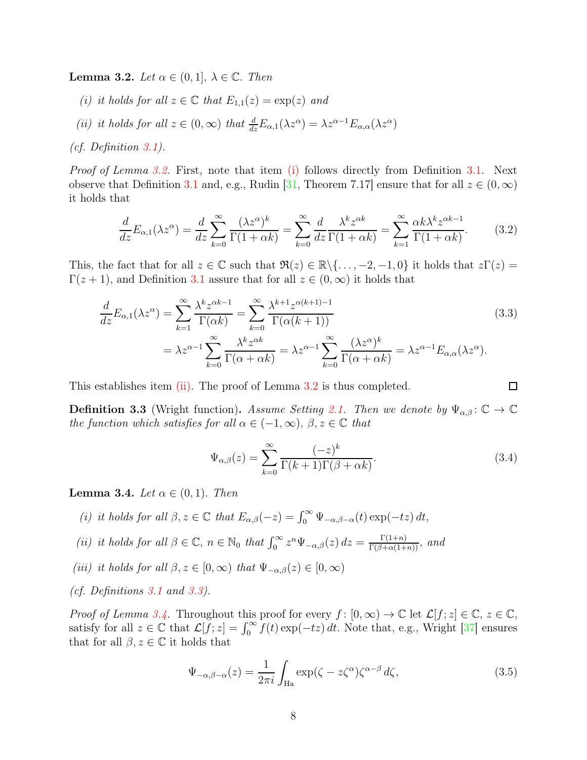<span id="page-7-2"></span>**Lemma 3.2.** Let  $\alpha \in (0,1], \lambda \in \mathbb{C}$ . Then

- <span id="page-7-3"></span>(i) it holds for all  $z \in \mathbb{C}$  that  $E_{1,1}(z) = \exp(z)$  and
- (ii) it holds for all  $z \in (0, \infty)$  that  $\frac{d}{dz} E_{\alpha,1}(\lambda z^{\alpha}) = \lambda z^{\alpha-1} E_{\alpha,\alpha}(\lambda z^{\alpha})$

(cf. Definition [3.1\)](#page-6-2).

Proof of Lemma [3.2.](#page-6-3) First, note that item [\(i\)](#page-7-2) follows directly from Definition [3.1.](#page-6-2) Next observe that Definition [3.1](#page-6-2) and, e.g., Rudin [\[31,](#page-13-12) Theorem 7.17] ensure that for all  $z \in (0, \infty)$ it holds that

$$
\frac{d}{dz}E_{\alpha,1}(\lambda z^{\alpha}) = \frac{d}{dz}\sum_{k=0}^{\infty}\frac{(\lambda z^{\alpha})^k}{\Gamma(1+\alpha k)} = \sum_{k=0}^{\infty}\frac{d}{dz}\frac{\lambda^k z^{\alpha k}}{\Gamma(1+\alpha k)} = \sum_{k=1}^{\infty}\frac{\alpha k\lambda^k z^{\alpha k-1}}{\Gamma(1+\alpha k)}.\tag{3.2}
$$

This, the fact that for all  $z \in \mathbb{C}$  such that  $\Re(z) \in \mathbb{R} \setminus \{ \ldots, -2, -1, 0 \}$  it holds that  $z\Gamma(z) =$  $\Gamma(z+1)$ , and Definition [3.1](#page-6-2) assure that for all  $z \in (0,\infty)$  it holds that

$$
\frac{d}{dz}E_{\alpha,1}(\lambda z^{\alpha}) = \sum_{k=1}^{\infty} \frac{\lambda^k z^{\alpha k - 1}}{\Gamma(\alpha k)} = \sum_{k=0}^{\infty} \frac{\lambda^{k+1} z^{\alpha (k+1) - 1}}{\Gamma(\alpha (k+1))}
$$
\n
$$
= \lambda z^{\alpha - 1} \sum_{k=0}^{\infty} \frac{\lambda^k z^{\alpha k}}{\Gamma(\alpha + \alpha k)} = \lambda z^{\alpha - 1} \sum_{k=0}^{\infty} \frac{(\lambda z^{\alpha})^k}{\Gamma(\alpha + \alpha k)} = \lambda z^{\alpha - 1} E_{\alpha,\alpha}(\lambda z^{\alpha}).
$$
\n(3.3)

<span id="page-7-0"></span>This establishes item  $(ii)$ . The proof of Lemma [3.2](#page-6-3) is thus completed.

**Definition 3.3** (Wright function). Assume Setting [2.1.](#page-2-1) Then we denote by  $\Psi_{\alpha,\beta}$ :  $\mathbb{C} \to \mathbb{C}$ the function which satisfies for all  $\alpha \in (-1, \infty)$ ,  $\beta, z \in \mathbb{C}$  that

$$
\Psi_{\alpha,\beta}(z) = \sum_{k=0}^{\infty} \frac{(-z)^k}{\Gamma(k+1)\Gamma(\beta+\alpha k)}.
$$
\n(3.4)

 $\Box$ 

<span id="page-7-4"></span><span id="page-7-1"></span>**Lemma 3.4.** Let  $\alpha \in (0,1)$ . Then

- <span id="page-7-5"></span>(i) it holds for all  $\beta, z \in \mathbb{C}$  that  $E_{\alpha,\beta}(-z) = \int_0^\infty \Psi_{-\alpha,\beta-\alpha}(t) \exp(-tz) dt$ ,
- <span id="page-7-6"></span>(ii) it holds for all  $\beta \in \mathbb{C}$ ,  $n \in \mathbb{N}_0$  that  $\int_0^\infty z^n \Psi_{-\alpha,\beta}(z) dz = \frac{\Gamma(1+n)}{\Gamma(\beta+\alpha(1+n))}$ , and
- (iii) it holds for all  $\beta, z \in [0, \infty)$  that  $\Psi_{-\alpha,\beta}(z) \in [0, \infty)$
- (cf. Definitions [3.1](#page-6-2) and [3.3\)](#page-7-0).

*Proof of Lemma [3.4.](#page-7-1)* Throughout this proof for every  $f : [0, \infty) \to \mathbb{C}$  let  $\mathcal{L}[f; z] \in \mathbb{C}, z \in \mathbb{C}$ , satisfy for all  $z \in \mathbb{C}$  that  $\mathcal{L}[f, z] = \int_0^\infty f(t) \exp(-tz) dt$ . Note that, e.g., Wright [\[37\]](#page-14-1) ensures that for all  $\beta, z \in \mathbb{C}$  it holds that

$$
\Psi_{-\alpha,\beta-\alpha}(z) = \frac{1}{2\pi i} \int_{\text{Ha}} \exp(\zeta - z\zeta^{\alpha})\zeta^{\alpha-\beta} d\zeta,\tag{3.5}
$$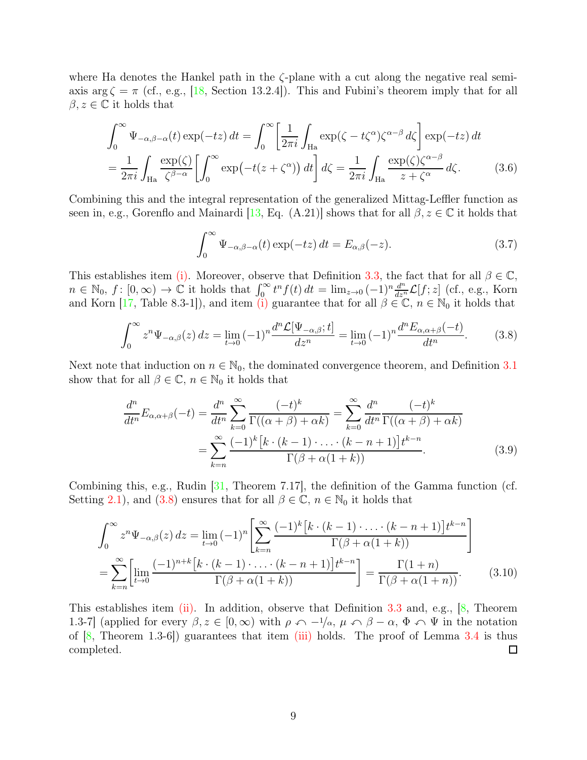where Ha denotes the Hankel path in the  $\zeta$ -plane with a cut along the negative real semiaxis  $\arg \zeta = \pi$  (cf., e.g., [\[18,](#page-12-11) Section 13.2.4]). This and Fubini's theorem imply that for all  $\beta, z \in \mathbb{C}$  it holds that

$$
\int_0^\infty \Psi_{-\alpha,\beta-\alpha}(t) \exp(-tz) dt = \int_0^\infty \left[ \frac{1}{2\pi i} \int_{\text{Ha}} \exp(\zeta - t\zeta^\alpha) \zeta^{\alpha-\beta} d\zeta \right] \exp(-tz) dt
$$
  
= 
$$
\frac{1}{2\pi i} \int_{\text{Ha}} \frac{\exp(\zeta)}{\zeta^{\beta-\alpha}} \left[ \int_0^\infty \exp(-t(z+\zeta^\alpha)) dt \right] d\zeta = \frac{1}{2\pi i} \int_{\text{Ha}} \frac{\exp(\zeta) \zeta^{\alpha-\beta}}{z+\zeta^\alpha} d\zeta.
$$
 (3.6)

Combining this and the integral representation of the generalized Mittag-Leffler function as seen in, e.g., Gorenflo and Mainardi [\[13,](#page-12-12) Eq. (A.21)] shows that for all  $\beta, z \in \mathbb{C}$  it holds that

$$
\int_0^\infty \Psi_{-\alpha,\beta-\alpha}(t) \exp(-tz) dt = E_{\alpha,\beta}(-z). \tag{3.7}
$$

This establishes item [\(i\).](#page-7-4) Moreover, observe that Definition [3.3,](#page-7-0) the fact that for all  $\beta \in \mathbb{C}$ ,  $n \in \mathbb{N}_0, f: [0, \infty) \to \mathbb{C}$  it holds that  $\int_0^{\infty} t^n f(t) dt = \lim_{z \to 0} (-1)^n \frac{d^n}{dz^n} \mathcal{L}[f; z]$  (cf., e.g., Korn and Korn [\[17,](#page-12-13) Table 8.3-1]), and item [\(i\)](#page-7-4) guarantee that for all  $\beta \in \mathbb{C}$ ,  $n \in \mathbb{N}_0$  it holds that

<span id="page-8-0"></span>
$$
\int_0^\infty z^n \Psi_{-\alpha,\beta}(z) dz = \lim_{t \to 0} (-1)^n \frac{d^n \mathcal{L}[\Psi_{-\alpha,\beta};t]}{dz^n} = \lim_{t \to 0} (-1)^n \frac{d^n E_{\alpha,\alpha+\beta}(-t)}{dt^n}.
$$
 (3.8)

Next note that induction on  $n \in \mathbb{N}_0$ , the dominated convergence theorem, and Definition [3.1](#page-6-2) show that for all  $\beta \in \mathbb{C}$ ,  $n \in \mathbb{N}_0$  it holds that

$$
\frac{d^n}{dt^n}E_{\alpha,\alpha+\beta}(-t) = \frac{d^n}{dt^n} \sum_{k=0}^{\infty} \frac{(-t)^k}{\Gamma((\alpha+\beta)+\alpha k)} = \sum_{k=0}^{\infty} \frac{d^n}{dt^n} \frac{(-t)^k}{\Gamma((\alpha+\beta)+\alpha k)}
$$

$$
= \sum_{k=n}^{\infty} \frac{(-1)^k [k \cdot (k-1) \cdot \ldots \cdot (k-n+1)] t^{k-n}}{\Gamma(\beta+\alpha(1+k))}.
$$
(3.9)

Combining this, e.g., Rudin [\[31,](#page-13-12) Theorem 7.17], the definition of the Gamma function (cf. Setting [2.1\)](#page-2-1), and [\(3.8\)](#page-8-0) ensures that for all  $\beta \in \mathbb{C}$ ,  $n \in \mathbb{N}_0$  it holds that

$$
\int_0^\infty z^n \Psi_{-\alpha,\beta}(z) dz = \lim_{t \to 0} (-1)^n \left[ \sum_{k=n}^\infty \frac{(-1)^k \left[ k \cdot (k-1) \cdot \ldots \cdot (k-n+1) \right] t^{k-n}}{\Gamma(\beta + \alpha(1+k))} \right]
$$

$$
= \sum_{k=n}^\infty \left[ \lim_{t \to 0} \frac{(-1)^{n+k} \left[ k \cdot (k-1) \cdot \ldots \cdot (k-n+1) \right] t^{k-n}}{\Gamma(\beta + \alpha(1+k))} \right] = \frac{\Gamma(1+n)}{\Gamma(\beta + \alpha(1+n))}.
$$
(3.10)

This establishes item [\(ii\).](#page-7-5) In addition, observe that Definition [3.3](#page-7-0) and, e.g.,  $[8,$  Theorem 1.3-7] (applied for every  $\beta, z \in [0, \infty)$  with  $\rho \curvearrowleft -\frac{1}{\alpha}, \mu \curvearrowleft \beta - \alpha, \Phi \curvearrowleft \Psi$  in the notation of  $[8,$  Theorem 1.3-6 $]$  guarantees that item [\(iii\)](#page-7-6) holds. The proof of Lemma [3.4](#page-7-1) is thus completed.  $\Box$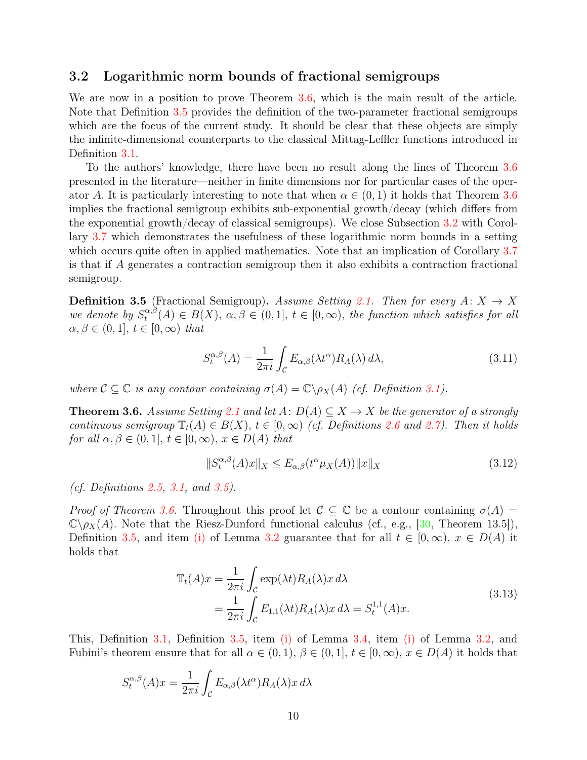### <span id="page-9-0"></span>3.2 Logarithmic norm bounds of fractional semigroups

We are now in a position to prove Theorem [3.6,](#page-9-1) which is the main result of the article. Note that Definition [3.5](#page-9-2) provides the definition of the two-parameter fractional semigroups which are the focus of the current study. It should be clear that these objects are simply the infinite-dimensional counterparts to the classical Mittag-Leffler functions introduced in Definition [3.1.](#page-6-2)

To the authors' knowledge, there have been no result along the lines of Theorem [3.6](#page-9-1) presented in the literature—neither in finite dimensions nor for particular cases of the operator A. It is particularly interesting to note that when  $\alpha \in (0,1)$  it holds that Theorem [3.6](#page-9-1) implies the fractional semigroup exhibits sub-exponential growth/decay (which differs from the exponential growth/decay of classical semigroups). We close Subsection [3.2](#page-9-0) with Corollary [3.7](#page-10-1) which demonstrates the usefulness of these logarithmic norm bounds in a setting which occurs quite often in applied mathematics. Note that an implication of Corollary [3.7](#page-10-1) is that if A generates a contraction semigroup then it also exhibits a contraction fractional semigroup.

<span id="page-9-2"></span>**Definition 3.5** (Fractional Semigroup). Assume Setting [2.1.](#page-2-1) Then for every  $A: X \rightarrow X$ we denote by  $S_t^{\alpha,\beta}$  $\alpha^{\alpha,\beta}(A) \in B(X), \ \alpha,\beta \in (0,1], \ t \in [0,\infty), \ the \ function \ which \ satisfies \ for \ all \$  $\alpha, \beta \in (0, 1], t \in [0, \infty)$  that

$$
S_t^{\alpha,\beta}(A) = \frac{1}{2\pi i} \int_{\mathcal{C}} E_{\alpha,\beta}(\lambda t^{\alpha}) R_A(\lambda) d\lambda,
$$
\n(3.11)

<span id="page-9-1"></span>where  $C \subseteq \mathbb{C}$  is any contour containing  $\sigma(A) = \mathbb{C} \backslash \rho_X(A)$  (cf. Definition [3.1\)](#page-6-2).

**Theorem 3.6.** Assume Setting [2.1](#page-2-1) and let  $A: D(A) \subseteq X \rightarrow X$  be the generator of a strongly continuous semigroup  $\mathbb{T}_t(A) \in B(X)$ ,  $t \in [0,\infty)$  (cf. Definitions [2.6](#page-5-2) and [2.7\)](#page-5-3). Then it holds for all  $\alpha, \beta \in (0, 1], t \in [0, \infty), x \in D(A)$  that

<span id="page-9-4"></span>
$$
||S_t^{\alpha,\beta}(A)x||_X \le E_{\alpha,\beta}(t^{\alpha}\mu_X(A))||x||_X \tag{3.12}
$$

(cf. Definitions [2.5,](#page-4-3) [3.1,](#page-6-2) and [3.5\)](#page-9-2).

Proof of Theorem [3.6.](#page-9-1) Throughout this proof let  $\mathcal{C} \subseteq \mathbb{C}$  be a contour containing  $\sigma(A) =$  $\mathbb{C}\setminus\rho_X(A)$ . Note that the Riesz-Dunford functional calculus (cf., e.g., [\[30,](#page-13-13) Theorem 13.5]), Definition [3.5,](#page-9-2) and item [\(i\)](#page-7-2) of Lemma [3.2](#page-6-3) guarantee that for all  $t \in [0,\infty)$ ,  $x \in D(A)$  it holds that

$$
\mathbb{T}_t(A)x = \frac{1}{2\pi i} \int_{\mathcal{C}} \exp(\lambda t) R_A(\lambda) x \, d\lambda
$$
\n
$$
= \frac{1}{2\pi i} \int_{\mathcal{C}} E_{1,1}(\lambda t) R_A(\lambda) x \, d\lambda = S_t^{1,1}(A)x. \tag{3.13}
$$

<span id="page-9-3"></span>This, Definition [3.1,](#page-6-2) Definition [3.5,](#page-9-2) item [\(i\)](#page-7-4) of Lemma [3.4,](#page-7-1) item [\(i\)](#page-7-2) of Lemma [3.2,](#page-6-3) and Fubini's theorem ensure that for all  $\alpha \in (0,1)$ ,  $\beta \in (0,1]$ ,  $t \in [0,\infty)$ ,  $x \in D(A)$  it holds that

$$
S_t^{\alpha,\beta}(A)x = \frac{1}{2\pi i} \int_{\mathcal{C}} E_{\alpha,\beta}(\lambda t^{\alpha}) R_A(\lambda) x \, d\lambda
$$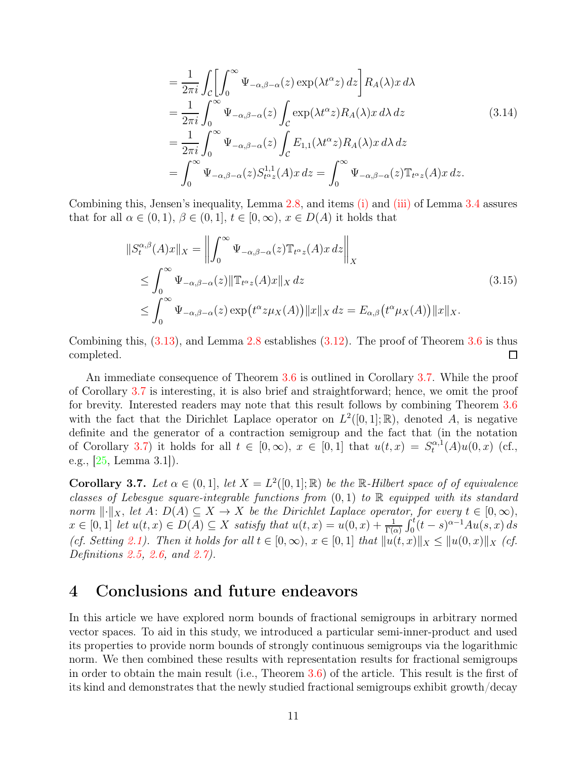$$
= \frac{1}{2\pi i} \int_{\mathcal{C}} \left[ \int_{0}^{\infty} \Psi_{-\alpha,\beta-\alpha}(z) \exp(\lambda t^{\alpha} z) dz \right] R_{A}(\lambda) x d\lambda
$$
  
\n
$$
= \frac{1}{2\pi i} \int_{0}^{\infty} \Psi_{-\alpha,\beta-\alpha}(z) \int_{\mathcal{C}} \exp(\lambda t^{\alpha} z) R_{A}(\lambda) x d\lambda dz
$$
  
\n
$$
= \frac{1}{2\pi i} \int_{0}^{\infty} \Psi_{-\alpha,\beta-\alpha}(z) \int_{\mathcal{C}} E_{1,1}(\lambda t^{\alpha} z) R_{A}(\lambda) x d\lambda dz
$$
  
\n
$$
= \int_{0}^{\infty} \Psi_{-\alpha,\beta-\alpha}(z) S_{t^{\alpha}z}^{1,1}(A) x dz = \int_{0}^{\infty} \Psi_{-\alpha,\beta-\alpha}(z) \mathbb{T}_{t^{\alpha}z}(A) x dz.
$$
\n(3.14)

Combining this, Jensen's inequality, Lemma [2.8,](#page-5-1) and items [\(i\)](#page-7-4) and [\(iii\)](#page-7-6) of Lemma [3.4](#page-7-1) assures that for all  $\alpha \in (0,1)$ ,  $\beta \in (0,1]$ ,  $t \in [0,\infty)$ ,  $x \in D(A)$  it holds that

$$
\|S_t^{\alpha,\beta}(A)x\|_X = \left\| \int_0^\infty \Psi_{-\alpha,\beta-\alpha}(z) \mathbb{T}_{t^{\alpha}z}(A) x \, dz \right\|_X
$$
  
\n
$$
\leq \int_0^\infty \Psi_{-\alpha,\beta-\alpha}(z) \|\mathbb{T}_{t^{\alpha}z}(A)x\|_X \, dz
$$
  
\n
$$
\leq \int_0^\infty \Psi_{-\alpha,\beta-\alpha}(z) \exp(t^{\alpha} z \mu_X(A)) \|x\|_X \, dz = E_{\alpha,\beta}(t^{\alpha} \mu_X(A)) \|x\|_X.
$$
\n(3.15)

Combining this, [\(3.13\)](#page-9-3), and Lemma [2.8](#page-5-1) establishes [\(3.12\)](#page-9-4). The proof of Theorem [3.6](#page-9-1) is thus completed.  $\Box$ 

An immediate consequence of Theorem [3.6](#page-9-1) is outlined in Corollary [3.7.](#page-10-1) While the proof of Corollary [3.7](#page-10-1) is interesting, it is also brief and straightforward; hence, we omit the proof for brevity. Interested readers may note that this result follows by combining Theorem [3.6](#page-9-1) with the fact that the Dirichlet Laplace operator on  $L^2([0,1];\mathbb{R})$ , denoted A, is negative definite and the generator of a contraction semigroup and the fact that (in the notation of Corollary [3.7\)](#page-10-1) it holds for all  $t \in [0, \infty)$ ,  $x \in [0, 1]$  that  $u(t, x) = S_t^{\alpha, 1}$  $u_t^{\alpha,1}(A)u(0,x)$  (cf., e.g., [\[25,](#page-13-14) Lemma 3.1]).

<span id="page-10-1"></span>**Corollary 3.7.** Let  $\alpha \in (0,1]$ , let  $X = L^2([0,1];\mathbb{R})$  be the  $\mathbb{R}$ -Hilbert space of of equivalence classes of Lebesgue square-integrable functions from  $(0,1)$  to R equipped with its standard norm  $\lVert \cdot \rVert_X$ , let  $A: D(A) \subseteq X \to X$  be the Dirichlet Laplace operator, for every  $t \in [0, \infty)$ ,  $x \in [0,1]$  let  $u(t,x) \in D(A) \subseteq X$  satisfy that  $u(t,x) = u(0,x) + \frac{1}{\Gamma(\alpha)} \int_0^t (t-s)^{\alpha-1} A u(s,x) ds$ (cf. Setting [2.1\)](#page-2-1). Then it holds for all  $t \in [0, \infty)$ ,  $x \in [0, 1]$  that  $||u(t, x)||_X \leq ||u(0, x)||_X$  (cf. Definitions [2.5,](#page-4-3) [2.6,](#page-5-2) and [2.7\)](#page-5-3).

### <span id="page-10-0"></span>4 Conclusions and future endeavors

In this article we have explored norm bounds of fractional semigroups in arbitrary normed vector spaces. To aid in this study, we introduced a particular semi-inner-product and used its properties to provide norm bounds of strongly continuous semigroups via the logarithmic norm. We then combined these results with representation results for fractional semigroups in order to obtain the main result (i.e., Theorem [3.6\)](#page-9-1) of the article. This result is the first of its kind and demonstrates that the newly studied fractional semigroups exhibit growth/decay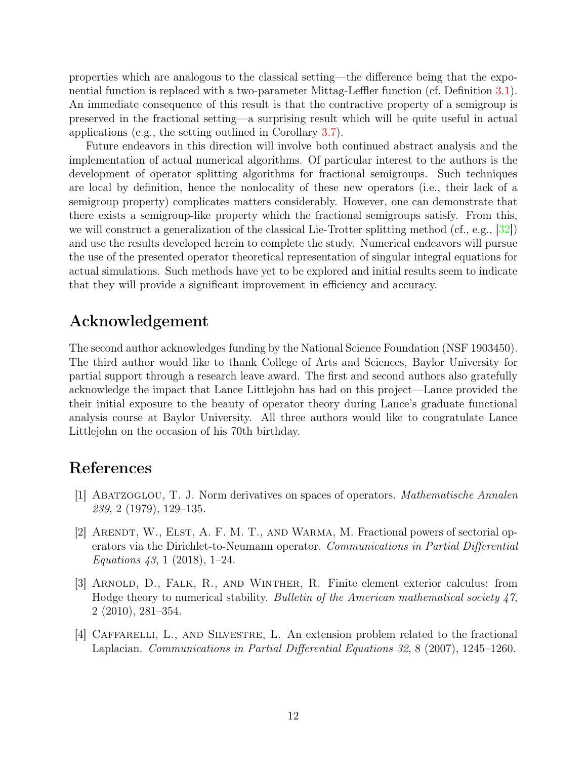properties which are analogous to the classical setting—the difference being that the exponential function is replaced with a two-parameter Mittag-Leffler function (cf. Definition [3.1\)](#page-6-2). An immediate consequence of this result is that the contractive property of a semigroup is preserved in the fractional setting—a surprising result which will be quite useful in actual applications (e.g., the setting outlined in Corollary [3.7\)](#page-10-1).

Future endeavors in this direction will involve both continued abstract analysis and the implementation of actual numerical algorithms. Of particular interest to the authors is the development of operator splitting algorithms for fractional semigroups. Such techniques are local by definition, hence the nonlocality of these new operators (i.e., their lack of a semigroup property) complicates matters considerably. However, one can demonstrate that there exists a semigroup-like property which the fractional semigroups satisfy. From this, we will construct a generalization of the classical Lie-Trotter splitting method (cf., e.g.,  $[32]$ ) and use the results developed herein to complete the study. Numerical endeavors will pursue the use of the presented operator theoretical representation of singular integral equations for actual simulations. Such methods have yet to be explored and initial results seem to indicate that they will provide a significant improvement in efficiency and accuracy.

### Acknowledgement

The second author acknowledges funding by the National Science Foundation (NSF 1903450). The third author would like to thank College of Arts and Sciences, Baylor University for partial support through a research leave award. The first and second authors also gratefully acknowledge the impact that Lance Littlejohn has had on this project—Lance provided the their initial exposure to the beauty of operator theory during Lance's graduate functional analysis course at Baylor University. All three authors would like to congratulate Lance Littlejohn on the occasion of his 70th birthday.

### <span id="page-11-1"></span>References

- [1] Abatzoglou, T. J. Norm derivatives on spaces of operators. Mathematische Annalen 239, 2 (1979), 129–135.
- [2] ARENDT, W., ELST, A. F. M. T., AND WARMA, M. Fractional powers of sectorial operators via the Dirichlet-to-Neumann operator. Communications in Partial Differential Equations 43, 1 (2018), 1–24.
- <span id="page-11-0"></span>[3] Arnold, D., Falk, R., and Winther, R. Finite element exterior calculus: from Hodge theory to numerical stability. Bulletin of the American mathematical society 47, 2 (2010), 281–354.
- [4] Caffarelli, L., and Silvestre, L. An extension problem related to the fractional Laplacian. Communications in Partial Differential Equations 32, 8 (2007), 1245–1260.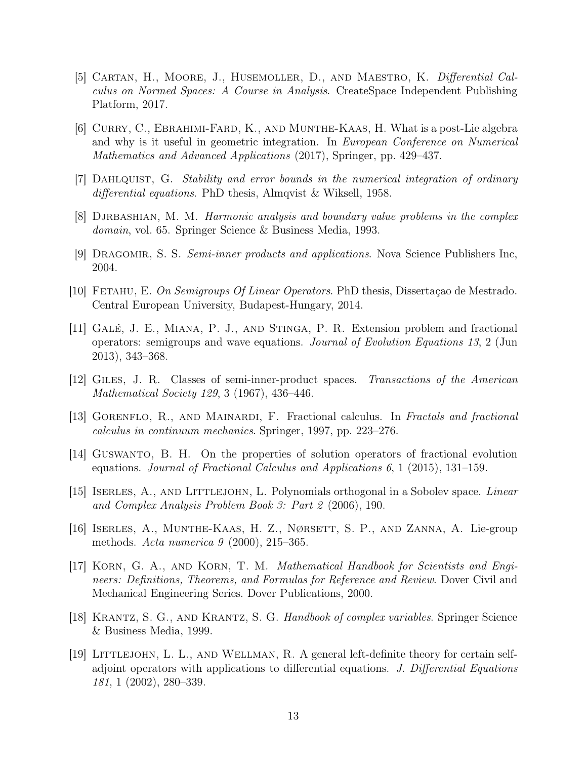- <span id="page-12-8"></span>[5] Cartan, H., Moore, J., Husemoller, D., and Maestro, K. Differential Calculus on Normed Spaces: A Course in Analysis. CreateSpace Independent Publishing Platform, 2017.
- <span id="page-12-0"></span>[6] Curry, C., Ebrahimi-Fard, K., and Munthe-Kaas, H. What is a post-Lie algebra and why is it useful in geometric integration. In European Conference on Numerical Mathematics and Advanced Applications (2017), Springer, pp. 429–437.
- <span id="page-12-14"></span><span id="page-12-7"></span>[7] DAHLQUIST, G. Stability and error bounds in the numerical integration of ordinary differential equations. PhD thesis, Almqvist & Wiksell, 1958.
- <span id="page-12-5"></span>[8] DJRBASHIAN, M. M. Harmonic analysis and boundary value problems in the complex domain, vol. 65. Springer Science & Business Media, 1993.
- <span id="page-12-9"></span>[9] DRAGOMIR, S. S. Semi-inner products and applications. Nova Science Publishers Inc, 2004.
- <span id="page-12-4"></span>[10] FETAHU, E. On Semigroups Of Linear Operators. PhD thesis, Dissertação de Mestrado. Central European University, Budapest-Hungary, 2014.
- [11] Galé, J. E., Miana, P. J., and Stinga, P. R. Extension problem and fractional operators: semigroups and wave equations. Journal of Evolution Equations 13, 2 (Jun 2013), 343–368.
- <span id="page-12-12"></span><span id="page-12-6"></span>[12] Giles, J. R. Classes of semi-inner-product spaces. Transactions of the American Mathematical Society 129, 3 (1967), 436–446.
- <span id="page-12-10"></span>[13] GORENFLO, R., AND MAINARDI, F. Fractional calculus. In Fractals and fractional calculus in continuum mechanics. Springer, 1997, pp. 223–276.
- [14] Guswanto, B. H. On the properties of solution operators of fractional evolution equations. Journal of Fractional Calculus and Applications 6, 1 (2015), 131–159.
- <span id="page-12-2"></span><span id="page-12-1"></span>[15] ISERLES, A., AND LITTLEJOHN, L. Polynomials orthogonal in a Sobolev space. Linear and Complex Analysis Problem Book 3: Part 2 (2006), 190.
- <span id="page-12-13"></span>[16] Iserles, A., Munthe-Kaas, H. Z., Nørsett, S. P., and Zanna, A. Lie-group methods. Acta numerica 9 (2000), 215–365.
- [17] KORN, G. A., AND KORN, T. M. *Mathematical Handbook for Scientists and Engi*neers: Definitions, Theorems, and Formulas for Reference and Review. Dover Civil and Mechanical Engineering Series. Dover Publications, 2000.
- <span id="page-12-11"></span>[18] Krantz, S. G., and Krantz, S. G. Handbook of complex variables. Springer Science & Business Media, 1999.
- <span id="page-12-3"></span>[19] Littlejohn, L. L., and Wellman, R. A general left-definite theory for certain selfadjoint operators with applications to differential equations. J. Differential Equations 181, 1 (2002), 280–339.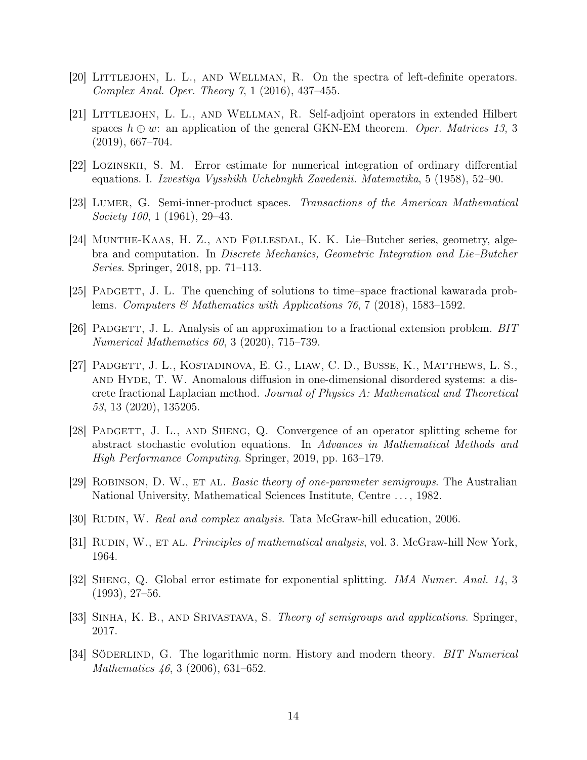- <span id="page-13-4"></span><span id="page-13-3"></span>[20] Littlejohn, L. L., and Wellman, R. On the spectra of left-definite operators. Complex Anal. Oper. Theory 7, 1 (2016), 437–455.
- [21] Littlejohn, L. L., and Wellman, R. Self-adjoint operators in extended Hilbert spaces  $h \oplus w$ : an application of the general GKN-EM theorem. Oper. Matrices 13, 3 (2019), 667–704.
- <span id="page-13-8"></span><span id="page-13-7"></span>[22] Lozinskii, S. M. Error estimate for numerical integration of ordinary differential equations. I. Izvestiya Vysshikh Uchebnykh Zavedenii. Matematika, 5 (1958), 52–90.
- <span id="page-13-0"></span>[23] Lumer, G. Semi-inner-product spaces. Transactions of the American Mathematical Society 100, 1 (1961), 29–43.
- [24] Munthe-Kaas, H. Z., and Føllesdal, K. K. Lie–Butcher series, geometry, algebra and computation. In Discrete Mechanics, Geometric Integration and Lie–Butcher Series. Springer, 2018, pp. 71–113.
- <span id="page-13-14"></span><span id="page-13-1"></span>[25] Padgett, J. L. The quenching of solutions to time–space fractional kawarada problems. Computers  $\mathcal{B}$  Mathematics with Applications 76, 7 (2018), 1583–1592.
- <span id="page-13-6"></span>[26] PADGETT, J. L. Analysis of an approximation to a fractional extension problem. BIT Numerical Mathematics 60, 3 (2020), 715–739.
- [27] Padgett, J. L., Kostadinova, E. G., Liaw, C. D., Busse, K., Matthews, L. S., and Hyde, T. W. Anomalous diffusion in one-dimensional disordered systems: a discrete fractional Laplacian method. Journal of Physics A: Mathematical and Theoretical 53, 13 (2020), 135205.
- <span id="page-13-2"></span>[28] Padgett, J. L., and Sheng, Q. Convergence of an operator splitting scheme for abstract stochastic evolution equations. In Advances in Mathematical Methods and High Performance Computing. Springer, 2019, pp. 163–179.
- <span id="page-13-13"></span><span id="page-13-11"></span>[29] ROBINSON, D. W., ET AL. Basic theory of one-parameter semigroups. The Australian National University, Mathematical Sciences Institute, Centre . . . , 1982.
- <span id="page-13-12"></span>[30] RUDIN, W. *Real and complex analysis*. Tata McGraw-hill education, 2006.
- <span id="page-13-5"></span>[31] RUDIN, W., ET AL. *Principles of mathematical analysis*, vol. 3. McGraw-hill New York, 1964.
- [32] Sheng, Q. Global error estimate for exponential splitting. IMA Numer. Anal. 14, 3 (1993), 27–56.
- <span id="page-13-10"></span><span id="page-13-9"></span>[33] SINHA, K. B., AND SRIVASTAVA, S. Theory of semigroups and applications. Springer, 2017.
- [34] SÖDERLIND, G. The logarithmic norm. History and modern theory. BIT Numerical Mathematics 46, 3 (2006), 631–652.